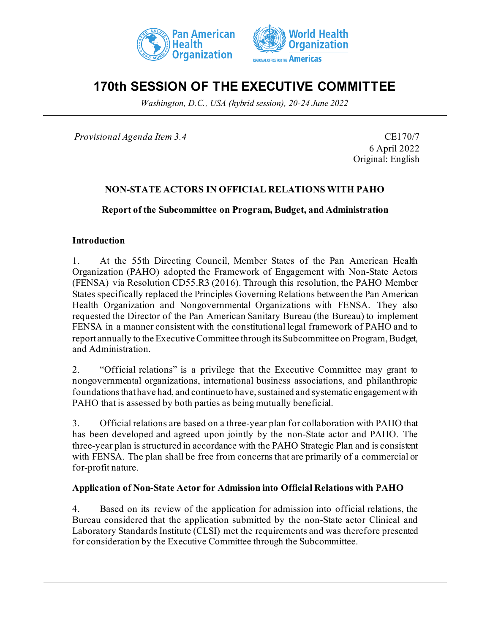



# **170th SESSION OF THE EXECUTIVE COMMITTEE**

*Washington, D.C., USA (hybrid session), 20-24 June 2022*

*Provisional Agenda Item 3.4* CE170/7

6 April 2022 Original: English

## **NON-STATE ACTORS IN OFFICIAL RELATIONS WITH PAHO**

**Report of the Subcommittee on Program, Budget, and Administration**

### **Introduction**

1. At the 55th Directing Council, Member States of the Pan American Health Organization (PAHO) adopted the Framework of Engagement with Non-State Actors (FENSA) via Resolution CD55.R3 (2016). Through this resolution, the PAHO Member States specifically replaced the Principles Governing Relations between the Pan American Health Organization and Nongovernmental Organizations with FENSA. They also requested the Director of the Pan American Sanitary Bureau (the Bureau) to implement FENSA in a manner consistent with the constitutional legal framework of PAHO and to report annually to the Executive Committee through its Subcommittee on Program, Budget, and Administration.

2. "Official relations" is a privilege that the Executive Committee may grant to nongovernmental organizations, international business associations, and philanthropic foundations that have had, and continue to have, sustained and systematic engagement with PAHO that is assessed by both parties as being mutually beneficial.

3. Official relations are based on a three-year plan for collaboration with PAHO that has been developed and agreed upon jointly by the non-State actor and PAHO. The three-year plan is structured in accordance with the PAHO Strategic Plan and is consistent with FENSA. The plan shall be free from concerns that are primarily of a commercial or for-profit nature.

### **Application of Non-State Actor for Admission into Official Relations with PAHO**

4. Based on its review of the application for admission into official relations, the Bureau considered that the application submitted by the non-State actor Clinical and Laboratory Standards Institute (CLSI) met the requirements and was therefore presented for consideration by the Executive Committee through the Subcommittee.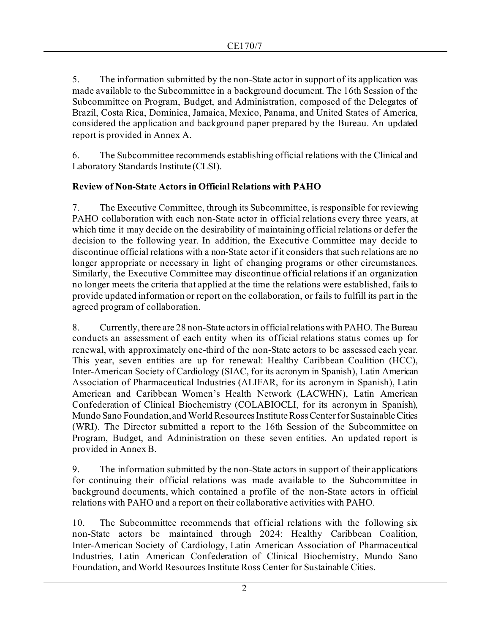5. The information submitted by the non-State actor in support of its application was made available to the Subcommittee in a background document. The 16th Session of the Subcommittee on Program, Budget, and Administration, composed of the Delegates of Brazil, Costa Rica, Dominica, Jamaica, Mexico, Panama, and United States of America, considered the application and background paper prepared by the Bureau. An updated report is provided in Annex A.

6. The Subcommittee recommends establishing official relations with the Clinical and Laboratory Standards Institute (CLSI).

# **Review of Non-State Actors in Official Relations with PAHO**

7. The Executive Committee, through its Subcommittee, is responsible for reviewing PAHO collaboration with each non-State actor in official relations every three years, at which time it may decide on the desirability of maintaining official relations or defer the decision to the following year. In addition, the Executive Committee may decide to discontinue official relations with a non-State actor if it considers that such relations are no longer appropriate or necessary in light of changing programs or other circumstances. Similarly, the Executive Committee may discontinue official relations if an organization no longer meets the criteria that applied at the time the relations were established, fails to provide updated information or report on the collaboration, or fails to fulfill its part in the agreed program of collaboration.

8. Currently, there are 28 non-State actors in official relations with PAHO. The Bureau conducts an assessment of each entity when its official relations status comes up for renewal, with approximately one-third of the non-State actors to be assessed each year. This year, seven entities are up for renewal: Healthy Caribbean Coalition (HCC), Inter-American Society of Cardiology (SIAC, for its acronym in Spanish), Latin American Association of Pharmaceutical Industries (ALIFAR, for its acronym in Spanish), Latin American and Caribbean Women's Health Network (LACWHN), Latin American Confederation of Clinical Biochemistry (COLABIOCLI, for its acronym in Spanish), Mundo Sano Foundation, and World Resources Institute Ross Center for Sustainable Cities (WRI). The Director submitted a report to the 16th Session of the Subcommittee on Program, Budget, and Administration on these seven entities. An updated report is provided in Annex B.

9. The information submitted by the non-State actors in support of their applications for continuing their official relations was made available to the Subcommittee in background documents, which contained a profile of the non-State actors in official relations with PAHO and a report on their collaborative activities with PAHO.

10. The Subcommittee recommends that official relations with the following six non-State actors be maintained through 2024: Healthy Caribbean Coalition, Inter-American Society of Cardiology, Latin American Association of Pharmaceutical Industries, Latin American Confederation of Clinical Biochemistry, Mundo Sano Foundation, and World Resources Institute Ross Center for Sustainable Cities.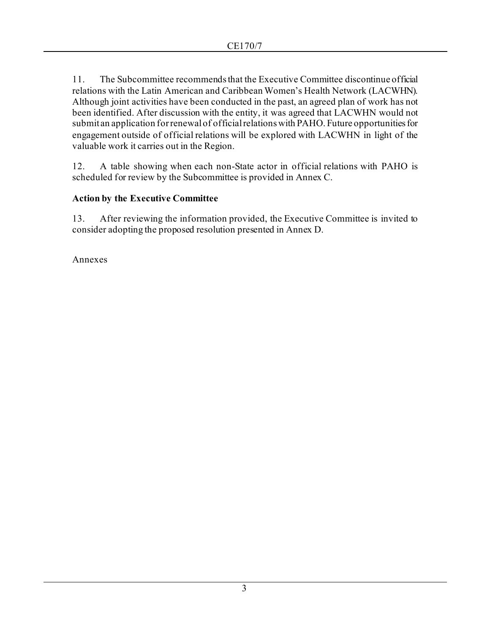11. The Subcommittee recommends that the Executive Committee discontinue official relations with the Latin American and Caribbean Women's Health Network (LACWHN). Although joint activities have been conducted in the past, an agreed plan of work has not been identified. After discussion with the entity, it was agreed that LACWHN would not submit an application for renewal of official relations with PAHO. Future opportunities for engagement outside of official relations will be explored with LACWHN in light of the valuable work it carries out in the Region.

12. A table showing when each non-State actor in official relations with PAHO is scheduled for review by the Subcommittee is provided in Annex C.

# **Action by the Executive Committee**

13. After reviewing the information provided, the Executive Committee is invited to consider adopting the proposed resolution presented in Annex D.

Annexes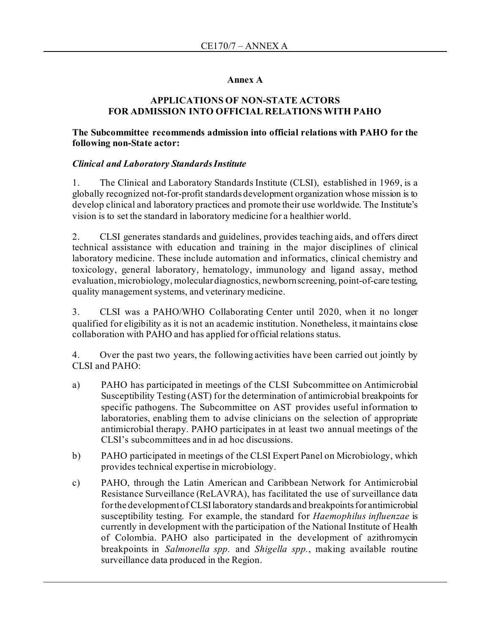### **Annex A**

### **APPLICATIONS OF NON-STATE ACTORS FOR ADMISSION INTO OFFICIAL RELATIONS WITH PAHO**

### **The Subcommittee recommends admission into official relations with PAHO for the following non-State actor:**

### *Clinical and Laboratory Standards Institute*

1. The Clinical and Laboratory Standards Institute (CLSI), established in 1969, is a globally recognized not-for-profit standards development organization whose mission is to develop clinical and laboratory practices and promote their use worldwide. The Institute's vision is to set the standard in laboratory medicine for a healthier world.

2. CLSI generates standards and guidelines, provides teaching aids, and offers direct technical assistance with education and training in the major disciplines of clinical laboratory medicine. These include automation and informatics, clinical chemistry and toxicology, general laboratory, hematology, immunology and ligand assay, method evaluation, microbiology, molecular diagnostics, newborn screening, point-of-care testing, quality management systems, and veterinary medicine.

3. CLSI was a PAHO/WHO Collaborating Center until 2020, when it no longer qualified for eligibility as it is not an academic institution. Nonetheless, it maintains close collaboration with PAHO and has applied for official relations status.

4. Over the past two years, the following activities have been carried out jointly by CLSI and PAHO:

- a) PAHO has participated in meetings of the CLSI Subcommittee on Antimicrobial Susceptibility Testing (AST) for the determination of antimicrobial breakpoints for specific pathogens. The Subcommittee on AST provides useful information to laboratories, enabling them to advise clinicians on the selection of appropriate antimicrobial therapy. PAHO participates in at least two annual meetings of the CLSI's subcommittees and in ad hoc discussions.
- b) PAHO participated in meetings of the CLSI Expert Panel on Microbiology, which provides technical expertise in microbiology.
- c) PAHO, through the Latin American and Caribbean Network for Antimicrobial Resistance Surveillance (ReLAVRA), has facilitated the use of surveillance data for the development of CLSI laboratory standards and breakpoints for antimicrobial susceptibility testing. For example, the standard for *Haemophilus influenzae* is currently in development with the participation of the National Institute of Health of Colombia. PAHO also participated in the development of azithromycin breakpoints in *Salmonella spp.* and *Shigella spp.*, making available routine surveillance data produced in the Region.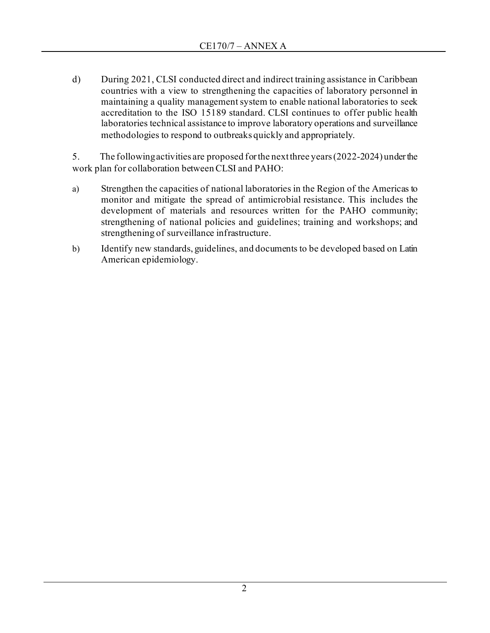d) During 2021, CLSI conducted direct and indirect training assistance in Caribbean countries with a view to strengthening the capacities of laboratory personnel in maintaining a quality management system to enable national laboratories to seek accreditation to the ISO 15189 standard. CLSI continues to offer public health laboratories technical assistance to improve laboratory operations and surveillance methodologies to respond to outbreaks quickly and appropriately.

5. The following activities are proposed for the next three years (2022-2024) under the work plan for collaboration between CLSI and PAHO:

- a) Strengthen the capacities of national laboratories in the Region of the Americas to monitor and mitigate the spread of antimicrobial resistance. This includes the development of materials and resources written for the PAHO community; strengthening of national policies and guidelines; training and workshops; and strengthening of surveillance infrastructure.
- b) Identify new standards, guidelines, and documents to be developed based on Latin American epidemiology.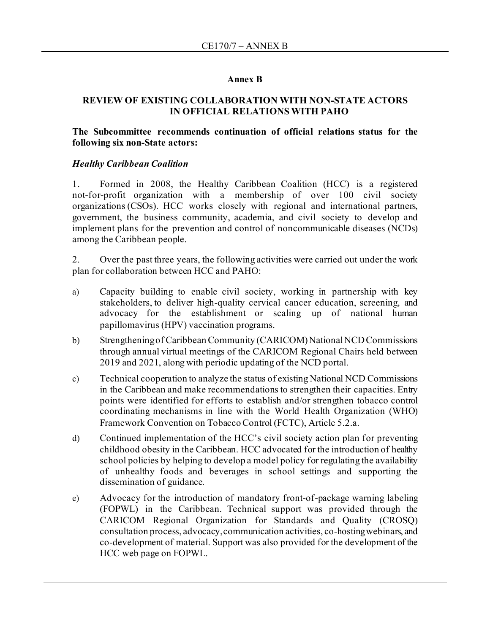### **Annex B**

### **REVIEW OF EXISTING COLLABORATION WITH NON-STATE ACTORS IN OFFICIAL RELATIONS WITH PAHO**

### **The Subcommittee recommends continuation of official relations status for the following six non-State actors:**

### *Healthy Caribbean Coalition*

1. Formed in 2008, the Healthy Caribbean Coalition (HCC) is a registered not-for-profit organization with a membership of over 100 civil society organizations (CSOs). HCC works closely with regional and international partners, government, the business community, academia, and civil society to develop and implement plans for the prevention and control of noncommunicable diseases (NCDs) among the Caribbean people.

2. Over the past three years, the following activities were carried out under the work plan for collaboration between HCC and PAHO:

- a) Capacity building to enable civil society, working in partnership with key stakeholders, to deliver high-quality cervical cancer education, screening, and advocacy for the establishment or scaling up of national human papillomavirus (HPV) vaccination programs.
- b) Strengthening of Caribbean Community (CARICOM) National NCD Commissions through annual virtual meetings of the CARICOM Regional Chairs held between 2019 and 2021, along with periodic updating of the NCD portal.
- c) Technical cooperation to analyze the status of existing National NCD Commissions in the Caribbean and make recommendations to strengthen their capacities. Entry points were identified for efforts to establish and/or strengthen tobacco control coordinating mechanisms in line with the World Health Organization (WHO) Framework Convention on Tobacco Control (FCTC), Article 5.2.a.
- d) Continued implementation of the HCC's civil society action plan for preventing childhood obesity in the Caribbean. HCC advocated for the introduction of healthy school policies by helping to develop a model policy for regulating the availability of unhealthy foods and beverages in school settings and supporting the dissemination of guidance.
- e) Advocacy for the introduction of mandatory front-of-package warning labeling (FOPWL) in the Caribbean. Technical support was provided through the CARICOM Regional Organization for Standards and Quality (CROSQ) consultation process, advocacy, communication activities, co-hosting webinars, and co-development of material. Support was also provided for the development of the HCC web page on FOPWL.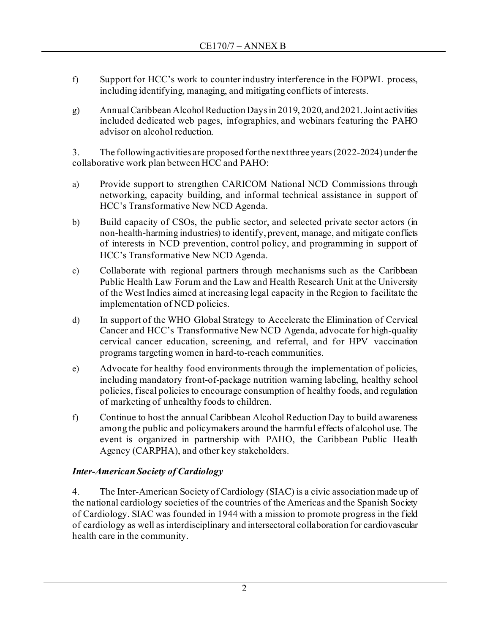- f) Support for HCC's work to counter industry interference in the FOPWL process, including identifying, managing, and mitigating conflicts of interests.
- g) Annual Caribbean Alcohol Reduction Days in 2019, 2020, and 2021. Joint activities included dedicated web pages, infographics, and webinars featuring the PAHO advisor on alcohol reduction.

3. The following activities are proposed for the next three years (2022-2024) under the collaborative work plan between HCC and PAHO:

- a) Provide support to strengthen CARICOM National NCD Commissions through networking, capacity building, and informal technical assistance in support of HCC's Transformative New NCD Agenda.
- b) Build capacity of CSOs, the public sector, and selected private sector actors (in non-health-harming industries) to identify, prevent, manage, and mitigate conflicts of interests in NCD prevention, control policy, and programming in support of HCC's Transformative New NCD Agenda.
- c) Collaborate with regional partners through mechanisms such as the Caribbean Public Health Law Forum and the Law and Health Research Unit at the University of the West Indies aimed at increasing legal capacity in the Region to facilitate the implementation of NCD policies.
- d) In support of the WHO Global Strategy to Accelerate the Elimination of Cervical Cancer and HCC's Transformative New NCD Agenda, advocate for high-quality cervical cancer education, screening, and referral, and for HPV vaccination programs targeting women in hard-to-reach communities.
- e) Advocate for healthy food environments through the implementation of policies, including mandatory front-of-package nutrition warning labeling, healthy school policies, fiscal policies to encourage consumption of healthy foods, and regulation of marketing of unhealthy foods to children.
- f) Continue to host the annual Caribbean Alcohol Reduction Day to build awareness among the public and policymakers around the harmful effects of alcohol use. The event is organized in partnership with PAHO, the Caribbean Public Health Agency (CARPHA), and other key stakeholders.

# *Inter-American Society of Cardiology*

4. The Inter-American Society of Cardiology (SIAC) is a civic association made up of the national cardiology societies of the countries of the Americas and the Spanish Society of Cardiology. SIAC was founded in 1944 with a mission to promote progress in the field of cardiology as well as interdisciplinary and intersectoral collaboration for cardiovascular health care in the community.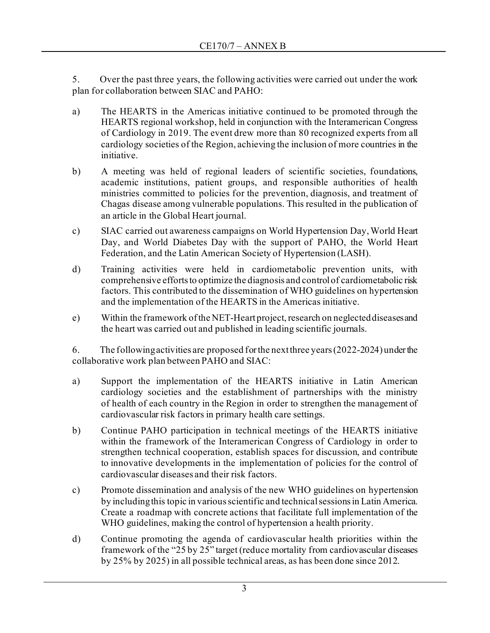5. Over the past three years, the following activities were carried out under the work plan for collaboration between SIAC and PAHO:

- a) The HEARTS in the Americas initiative continued to be promoted through the HEARTS regional workshop, held in conjunction with the Interamerican Congress of Cardiology in 2019. The event drew more than 80 recognized experts from all cardiology societies of the Region, achieving the inclusion of more countries in the initiative.
- b) A meeting was held of regional leaders of scientific societies, foundations, academic institutions, patient groups, and responsible authorities of health ministries committed to policies for the prevention, diagnosis, and treatment of Chagas disease among vulnerable populations. This resulted in the publication of an article in the Global Heart journal.
- c) SIAC carried out awareness campaigns on World Hypertension Day, World Heart Day, and World Diabetes Day with the support of PAHO, the World Heart Federation, and the Latin American Society of Hypertension (LASH).
- d) Training activities were held in cardiometabolic prevention units, with comprehensive efforts to optimize the diagnosis and control of cardiometabolic risk factors. This contributed to the dissemination of WHO guidelines on hypertension and the implementation of the HEARTS in the Americas initiative.
- e) Within the framework of the NET-Heart project, research on neglected diseases and the heart was carried out and published in leading scientific journals.

6. The following activities are proposed for the next three years (2022-2024) under the collaborative work plan between PAHO and SIAC:

- a) Support the implementation of the HEARTS initiative in Latin American cardiology societies and the establishment of partnerships with the ministry of health of each country in the Region in order to strengthen the management of cardiovascular risk factors in primary health care settings.
- b) Continue PAHO participation in technical meetings of the HEARTS initiative within the framework of the Interamerican Congress of Cardiology in order to strengthen technical cooperation, establish spaces for discussion, and contribute to innovative developments in the implementation of policies for the control of cardiovascular diseases and their risk factors.
- c) Promote dissemination and analysis of the new WHO guidelines on hypertension by including this topic in various scientific and technical sessions in Latin America. Create a roadmap with concrete actions that facilitate full implementation of the WHO guidelines, making the control of hypertension a health priority.
- d) Continue promoting the agenda of cardiovascular health priorities within the framework of the "25 by 25" target (reduce mortality from cardiovascular diseases by 25% by 2025) in all possible technical areas, as has been done since 2012.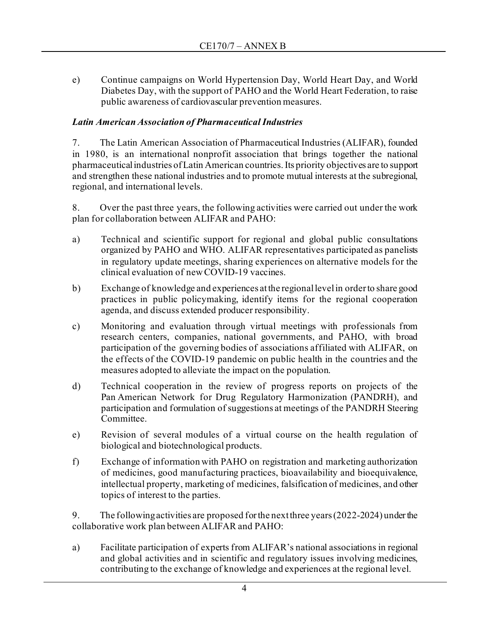e) Continue campaigns on World Hypertension Day, World Heart Day, and World Diabetes Day, with the support of PAHO and the World Heart Federation, to raise public awareness of cardiovascular prevention measures.

# *Latin American Association of Pharmaceutical Industries*

7. The Latin American Association of Pharmaceutical Industries (ALIFAR), founded in 1980, is an international nonprofit association that brings together the national pharmaceutical industries of Latin American countries. Its priority objectives are to support and strengthen these national industries and to promote mutual interests at the subregional, regional, and international levels.

8. Over the past three years, the following activities were carried out under the work plan for collaboration between ALIFAR and PAHO:

- a) Technical and scientific support for regional and global public consultations organized by PAHO and WHO. ALIFAR representatives participated as panelists in regulatory update meetings, sharing experiences on alternative models for the clinical evaluation of new COVID-19 vaccines.
- b) Exchange of knowledge and experiences at the regional level in order to share good practices in public policymaking, identify items for the regional cooperation agenda, and discuss extended producer responsibility.
- c) Monitoring and evaluation through virtual meetings with professionals from research centers, companies, national governments, and PAHO, with broad participation of the governing bodies of associations affiliated with ALIFAR, on the effects of the COVID-19 pandemic on public health in the countries and the measures adopted to alleviate the impact on the population.
- d) Technical cooperation in the review of progress reports on projects of the Pan American Network for Drug Regulatory Harmonization (PANDRH), and participation and formulation of suggestions at meetings of the PANDRH Steering Committee.
- e) Revision of several modules of a virtual course on the health regulation of biological and biotechnological products.
- f) Exchange of information with PAHO on registration and marketing authorization of medicines, good manufacturing practices, bioavailability and bioequivalence, intellectual property, marketing of medicines, falsification of medicines, and other topics of interest to the parties.

9. The following activities are proposed for the next three years (2022-2024) under the collaborative work plan between ALIFAR and PAHO:

a) Facilitate participation of experts from ALIFAR's national associations in regional and global activities and in scientific and regulatory issues involving medicines, contributing to the exchange of knowledge and experiences at the regional level.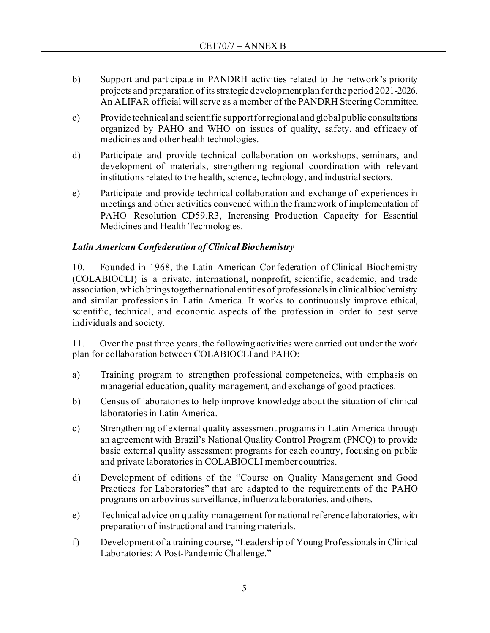- b) Support and participate in PANDRH activities related to the network's priority projects and preparation of its strategic development plan for the period 2021-2026. An ALIFAR official will serve as a member of the PANDRH Steering Committee.
- c) Provide technical and scientific support for regional and global public consultations organized by PAHO and WHO on issues of quality, safety, and efficacy of medicines and other health technologies.
- d) Participate and provide technical collaboration on workshops, seminars, and development of materials, strengthening regional coordination with relevant institutions related to the health, science, technology, and industrial sectors.
- e) Participate and provide technical collaboration and exchange of experiences in meetings and other activities convened within the framework of implementation of PAHO Resolution CD59.R3, Increasing Production Capacity for Essential Medicines and Health Technologies.

# *Latin American Confederation of Clinical Biochemistry*

10. Founded in 1968, the Latin American Confederation of Clinical Biochemistry (COLABIOCLI) is a private, international, nonprofit, scientific, academic, and trade association, which brings together national entities of professionals in clinical biochemistry and similar professions in Latin America. It works to continuously improve ethical, scientific, technical, and economic aspects of the profession in order to best serve individuals and society.

11. Over the past three years, the following activities were carried out under the work plan for collaboration between COLABIOCLI and PAHO:

- a) Training program to strengthen professional competencies, with emphasis on managerial education, quality management, and exchange of good practices.
- b) Census of laboratories to help improve knowledge about the situation of clinical laboratories in Latin America.
- c) Strengthening of external quality assessment programs in Latin America through an agreement with Brazil's National Quality Control Program (PNCQ) to provide basic external quality assessment programs for each country, focusing on public and private laboratories in COLABIOCLI member countries.
- d) Development of editions of the "Course on Quality Management and Good Practices for Laboratories" that are adapted to the requirements of the PAHO programs on arbovirus surveillance, influenza laboratories, and others.
- e) Technical advice on quality management for national reference laboratories, with preparation of instructional and training materials.
- f) Development of a training course, "Leadership of Young Professionals in Clinical Laboratories: A Post-Pandemic Challenge."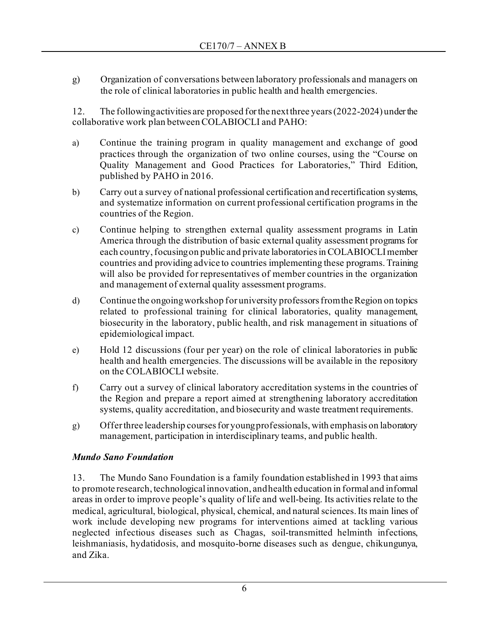g) Organization of conversations between laboratory professionals and managers on the role of clinical laboratories in public health and health emergencies.

12. The following activities are proposed forthe next three years (2022-2024) under the collaborative work plan between COLABIOCLI and PAHO:

- a) Continue the training program in quality management and exchange of good practices through the organization of two online courses, using the "Course on Quality Management and Good Practices for Laboratories," Third Edition, published by PAHO in 2016.
- b) Carry out a survey of national professional certification and recertification systems, and systematize information on current professional certification programs in the countries of the Region.
- c) Continue helping to strengthen external quality assessment programs in Latin America through the distribution of basic external quality assessment programs for each country, focusing on public and private laboratories in COLABIOCLI member countries and providing advice to countries implementing these programs. Training will also be provided for representatives of member countries in the organization and management of external quality assessment programs.
- d) Continue the ongoing workshop for university professors from the Region on topics related to professional training for clinical laboratories, quality management, biosecurity in the laboratory, public health, and risk management in situations of epidemiological impact.
- e) Hold 12 discussions (four per year) on the role of clinical laboratories in public health and health emergencies. The discussions will be available in the repository on the COLABIOCLI website.
- f) Carry out a survey of clinical laboratory accreditation systems in the countries of the Region and prepare a report aimed at strengthening laboratory accreditation systems, quality accreditation, and biosecurity and waste treatment requirements.
- g) Offer three leadership courses for young professionals, with emphasis on laboratory management, participation in interdisciplinary teams, and public health.

# *Mundo Sano Foundation*

13. The Mundo Sano Foundation is a family foundation established in 1993 that aims to promote research, technological innovation, and health education in formal and informal areas in order to improve people's quality of life and well-being. Its activities relate to the medical, agricultural, biological, physical, chemical, and natural sciences. Its main lines of work include developing new programs for interventions aimed at tackling various neglected infectious diseases such as Chagas, soil-transmitted helminth infections, leishmaniasis, hydatidosis, and mosquito-borne diseases such as dengue, chikungunya, and Zika.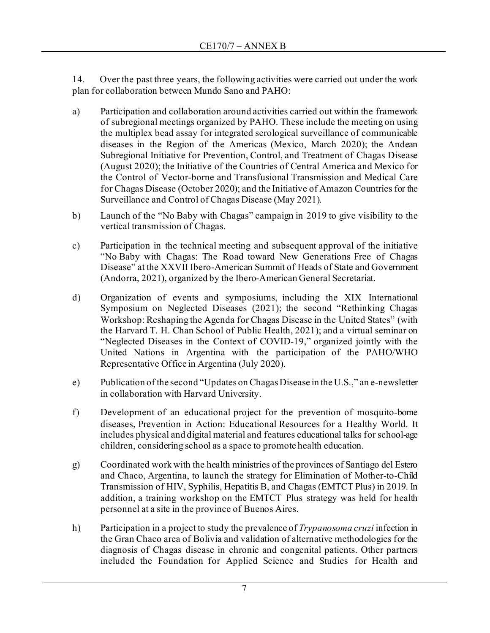14. Over the past three years, the following activities were carried out under the work plan for collaboration between Mundo Sano and PAHO:

- a) Participation and collaboration around activities carried out within the framework of subregional meetings organized by PAHO. These include the meeting on using the multiplex bead assay for integrated serological surveillance of communicable diseases in the Region of the Americas (Mexico, March 2020); the Andean Subregional Initiative for Prevention, Control, and Treatment of Chagas Disease (August 2020); the Initiative of the Countries of Central America and Mexico for the Control of Vector-borne and Transfusional Transmission and Medical Care for Chagas Disease (October 2020); and the Initiative of Amazon Countries for the Surveillance and Control of Chagas Disease (May 2021).
- b) Launch of the "No Baby with Chagas" campaign in 2019 to give visibility to the vertical transmission of Chagas.
- c) Participation in the technical meeting and subsequent approval of the initiative "No Baby with Chagas: The Road toward New Generations Free of Chagas Disease" at the XXVII Ibero-American Summit of Heads of State and Government (Andorra, 2021), organized by the Ibero-American General Secretariat.
- d) Organization of events and symposiums, including the XIX International Symposium on Neglected Diseases (2021); the second "Rethinking Chagas Workshop: Reshaping the Agenda for Chagas Disease in the United States" (with the Harvard T. H. Chan School of Public Health, 2021); and a virtual seminar on "Neglected Diseases in the Context of COVID-19," organized jointly with the United Nations in Argentina with the participation of the PAHO/WHO Representative Office in Argentina (July 2020).
- e) Publication of the second "Updates on Chagas Disease in the U.S.," an e-newsletter in collaboration with Harvard University.
- f) Development of an educational project for the prevention of mosquito-borne diseases, Prevention in Action: Educational Resources for a Healthy World. It includes physical and digital material and features educational talks for school-age children, considering school as a space to promote health education.
- g) Coordinated work with the health ministries of the provinces of Santiago del Estero and Chaco, Argentina, to launch the strategy for Elimination of Mother-to-Child Transmission of HIV, Syphilis, Hepatitis B, and Chagas (EMTCT Plus) in 2019. In addition, a training workshop on the EMTCT Plus strategy was held for health personnel at a site in the province of Buenos Aires.
- h) Participation in a project to study the prevalence of *Trypanosoma cruzi* infection in the Gran Chaco area of Bolivia and validation of alternative methodologies for the diagnosis of Chagas disease in chronic and congenital patients. Other partners included the Foundation for Applied Science and Studies for Health and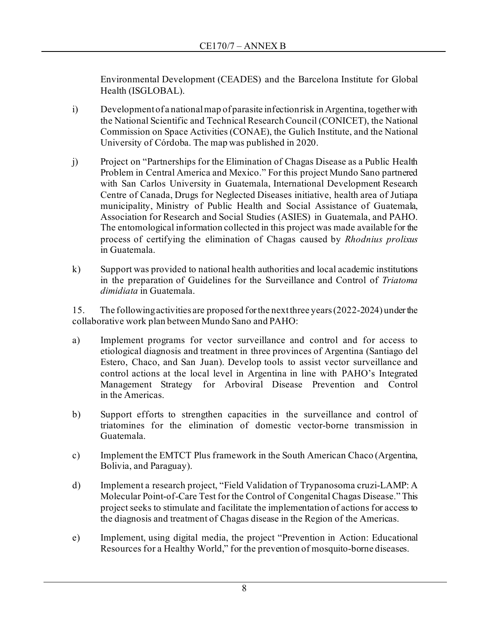Environmental Development (CEADES) and the Barcelona Institute for Global Health (ISGLOBAL).

- i) Development of a national map of parasite infection risk in Argentina, together with the National Scientific and Technical Research Council (CONICET), the National Commission on Space Activities (CONAE), the Gulich Institute, and the National University of Córdoba. The map was published in 2020.
- j) Project on "Partnerships for the Elimination of Chagas Disease as a Public Health Problem in Central America and Mexico." For this project Mundo Sano partnered with San Carlos University in Guatemala, International Development Research Centre of Canada, Drugs for Neglected Diseases initiative, health area of Jutiapa municipality, Ministry of Public Health and Social Assistance of Guatemala, Association for Research and Social Studies (ASIES) in Guatemala, and PAHO. The entomological information collected in this project was made available for the process of certifying the elimination of Chagas caused by *Rhodnius prolixus* in Guatemala.
- k) Support was provided to national health authorities and local academic institutions in the preparation of Guidelines for the Surveillance and Control of *Triatoma dimidiata* in Guatemala.

15. The following activities are proposed for the next three years (2022-2024) under the collaborative work plan between Mundo Sano and PAHO:

- a) Implement programs for vector surveillance and control and for access to etiological diagnosis and treatment in three provinces of Argentina (Santiago del Estero, Chaco, and San Juan). Develop tools to assist vector surveillance and control actions at the local level in Argentina in line with PAHO's Integrated Management Strategy for Arboviral Disease Prevention and Control in the Americas.
- b) Support efforts to strengthen capacities in the surveillance and control of triatomines for the elimination of domestic vector-borne transmission in Guatemala.
- c) Implement the EMTCT Plus framework in the South American Chaco (Argentina, Bolivia, and Paraguay).
- d) Implement a research project, "Field Validation of Trypanosoma cruzi-LAMP: A Molecular Point-of-Care Test for the Control of Congenital Chagas Disease." This project seeks to stimulate and facilitate the implementation of actions for access to the diagnosis and treatment of Chagas disease in the Region of the Americas.
- e) Implement, using digital media, the project "Prevention in Action: Educational Resources for a Healthy World," for the prevention of mosquito-borne diseases.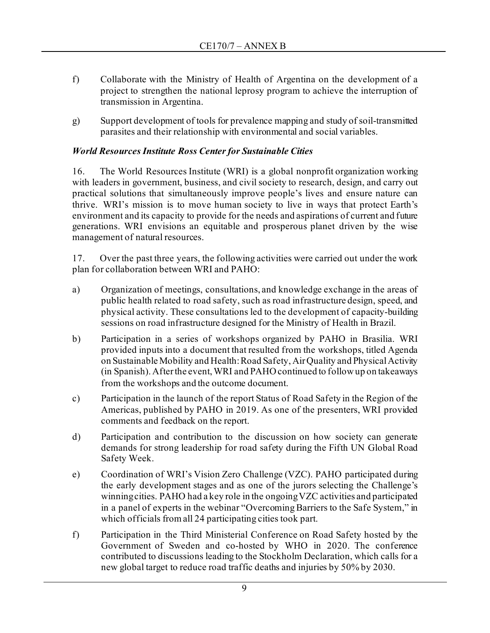- f) Collaborate with the Ministry of Health of Argentina on the development of a project to strengthen the national leprosy program to achieve the interruption of transmission in Argentina.
- g) Support development of tools for prevalence mapping and study of soil-transmitted parasites and their relationship with environmental and social variables.

# *World Resources Institute Ross Center for Sustainable Cities*

16. The World Resources Institute (WRI) is a global nonprofit organization working with leaders in government, business, and civil society to research, design, and carry out practical solutions that simultaneously improve people's lives and ensure nature can thrive.  WRI's mission is to move human society to live in ways that protect Earth's environment and its capacity to provide for the needs and aspirations of current and future generations. WRI envisions an equitable and prosperous planet driven by the wise management of natural resources.

17. Over the past three years, the following activities were carried out under the work plan for collaboration between WRI and PAHO:

- a) Organization of meetings, consultations, and knowledge exchange in the areas of public health related to road safety, such as road infrastructure design, speed, and physical activity. These consultations led to the development of capacity-building sessions on road infrastructure designed for the Ministry of Health in Brazil.
- b) Participation in a series of workshops organized by PAHO in Brasilia. WRI provided inputs into a document that resulted from the workshops, titled Agenda on Sustainable Mobility and Health: Road Safety, Air Quality and Physical Activity (in Spanish). After the event, WRI and PAHO continued to follow up on takeaways from the workshops and the outcome document.
- c) Participation in the launch of the report Status of Road Safety in the Region of the Americas, published by PAHO in 2019. As one of the presenters, WRI provided comments and feedback on the report.
- d) Participation and contribution to the discussion on how society can generate demands for strong leadership for road safety during the Fifth UN Global Road Safety Week.
- e) Coordination of WRI's Vision Zero Challenge (VZC). PAHO participated during the early development stages and as one of the jurors selecting the Challenge's winning cities. PAHO had a key role in the ongoing VZC activities and participated in a panel of experts in the webinar "Overcoming Barriers to the Safe System," in which officials from all 24 participating cities took part.
- f) Participation in the [Third Ministerial Conference on Road Safety](https://www.who.int/news-room/events/detail/2020/02/19/default-calendar/3rd-global-ministerial-conference-on-road-safety) hosted by the Government of Sweden and co-hosted by WHO in 2020. The conference contributed to discussions leading to the Stockholm Declaration, which calls for a new global target to reduce road traffic deaths and injuries by 50% by 2030.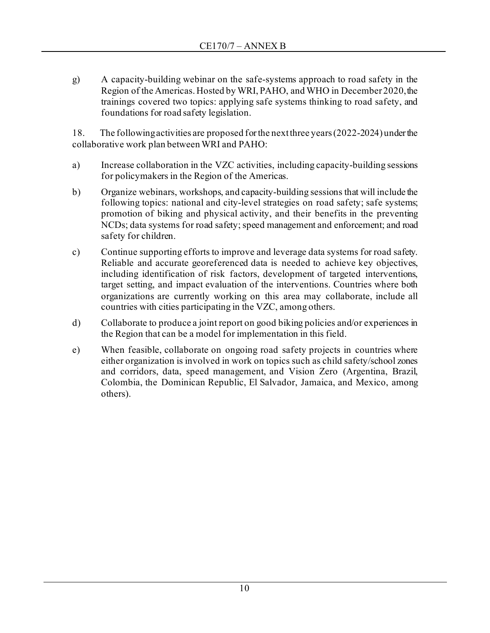g) A capacity-building webinar on the safe-systems approach to road safety in the Region of the Americas. Hosted by WRI, PAHO, and WHO in December 2020, the trainings covered two topics: applying safe systems thinking to road safety, and foundations for road safety legislation.

18. The following activities are proposed for the next three years (2022-2024) under the collaborative work plan between WRI and PAHO:

- a) Increase collaboration in the VZC activities, including capacity-building sessions for policymakers in the Region of the Americas.
- b) Organize webinars, workshops, and capacity-building sessions that will include the following topics: national and city-level strategies on road safety; safe systems; promotion of biking and physical activity, and their benefits in the preventing NCDs; data systems for road safety; speed management and enforcement; and road safety for children.
- c) Continue supporting efforts to improve and leverage data systems for road safety. Reliable and accurate georeferenced data is needed to achieve key objectives, including identification of risk factors, development of targeted interventions, target setting, and impact evaluation of the interventions. Countries where both organizations are currently working on this area may collaborate, include all countries with cities participating in the VZC, among others.
- d) Collaborate to produce a joint report on good biking policies and/or experiences in the Region that can be a model for implementation in this field.
- e) When feasible, collaborate on ongoing road safety projects in countries where either organization is involved in work on topics such as child safety/school zones and corridors, data, speed management, and Vision Zero (Argentina, Brazil, Colombia, the Dominican Republic, El Salvador, Jamaica, and Mexico, among others).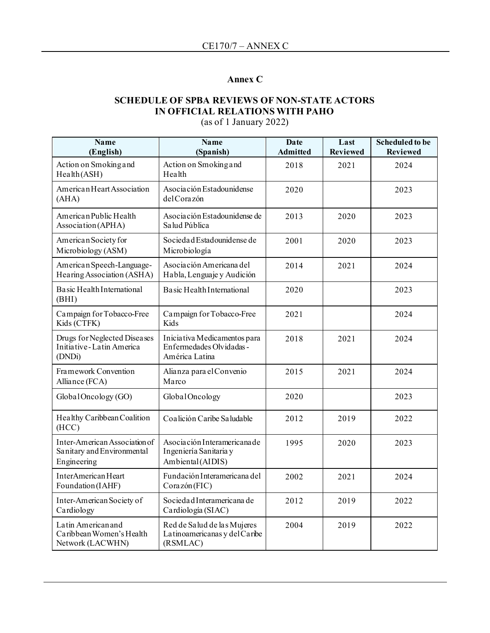# **Annex C**

# **SCHEDULE OF SPBA REVIEWS OF NON-STATE ACTORS IN OFFICIAL RELATIONS WITH PAHO**

(as of 1 January 2022)

| <b>Name</b><br>(English)                                                   | <b>Name</b><br>(Spanish)                                                    | <b>Date</b><br><b>Admitted</b> | Last<br><b>Reviewed</b> | <b>Scheduled to be</b><br><b>Reviewed</b> |
|----------------------------------------------------------------------------|-----------------------------------------------------------------------------|--------------------------------|-------------------------|-------------------------------------------|
| Action on Smoking and<br>Health (ASH)                                      | Action on Smoking and<br>Health                                             | 2018                           | 2021                    | 2024                                      |
| American Heart Association<br>(AHA)                                        | Asociación Estadounidense<br>del Corazón                                    | 2020                           |                         | 2023                                      |
| American Public Health<br>Association (APHA)                               | Asociación Estadounidense de<br>Salud Pública                               | 2013                           | 2020                    | 2023                                      |
| American Society for<br>Microbiology (ASM)                                 | Socieda d Estadounidense de<br>Microbiología                                | 2001                           | 2020                    | 2023                                      |
| American Speech-Language-<br>Hearing Association (ASHA)                    | Asociación Americana del<br>Habla, Lenguaje y Audición                      | 2014                           | 2021                    | 2024                                      |
| Basic Health International<br>(BHI)                                        | Basic Health International                                                  | 2020                           |                         | 2023                                      |
| Campaign for Tobacco-Free<br>Kids (CTFK)                                   | Campaign for Tobacco-Free<br>Kids                                           | 2021                           |                         | 2024                                      |
| Drugs for Neglected Diseases<br>Initiative-Latin America<br>(DNDi)         | Iniciativa Medicamentos para<br>Enfermedades Olvidadas -<br>América Latina  | 2018                           | 2021                    | 2024                                      |
| Framework Convention<br>Alliance (FCA)                                     | Alianza para el Convenio<br>Marco                                           | 2015                           | 2021                    | 2024                                      |
| Global Oncology (GO)                                                       | GlobalOncology                                                              | 2020                           |                         | 2023                                      |
| Healthy Caribbean Coalition<br>(HCC)                                       | Coalición Caribe Saludable                                                  | 2012                           | 2019                    | 2022                                      |
| Inter-American Association of<br>Sanitary and Environmental<br>Engineering | Asociación Interamericana de<br>Ingeniería Sanitaria y<br>Ambiental (AIDIS) | 1995                           | 2020                    | 2023                                      |
| InterAmerican Heart<br>Foundation (IAHF)                                   | Fundación Interamericana del<br>Corazón(FIC)                                | 2002                           | 2021                    | 2024                                      |
| Inter-American Society of<br>Cardiology                                    | Socieda d Interamericana de<br>Cardiología (SIAC)                           | 2012                           | 2019                    | 2022                                      |
| Latin American and<br>Caribbean Women's Health<br>Network (LACWHN)         | Red de Salud de las Mujeres<br>Latinoamericanas y del Caribe<br>(RSMLAC)    | 2004                           | 2019                    | 2022                                      |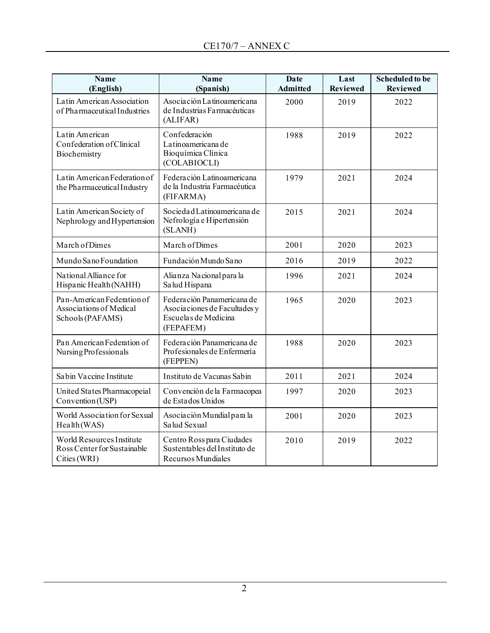| <b>Name</b><br>(English)                                                  | <b>Name</b><br>(Spanish)                                                                        | Date<br><b>Admitted</b> | Last<br><b>Reviewed</b> | <b>Scheduled to be</b><br><b>Reviewed</b> |
|---------------------------------------------------------------------------|-------------------------------------------------------------------------------------------------|-------------------------|-------------------------|-------------------------------------------|
| Latin American Association<br>of Pharmaceutical Industries                | Asociación Latinoamericana<br>de Industrias Farmacéuticas<br>(ALIFAR)                           | 2000                    | 2019                    | 2022                                      |
| Latin American<br>Confederation of Clinical<br>Biochemistry               | Confederación<br>La tinoamericana de<br>Bioquímica Clínica<br>(COLABIOCLI)                      | 1988                    | 2019                    | 2022                                      |
| Latin American Federation of<br>the Pharmaceutical Industry               | Federación Latinoamericana<br>de la Industria Farmacéutica<br>(FIFARMA)                         | 1979                    | 2021                    | 2024                                      |
| Latin American Society of<br>Nephrology and Hypertension                  | Socieda d Latinoamericana de<br>Nefrología e Hipertensión<br>(SLANH)                            | 2015                    | 2021                    | 2024                                      |
| March of Dimes                                                            | March of Dimes                                                                                  | 2001                    | 2020                    | 2023                                      |
| Mundo Sano Foundation                                                     | Fundación Mundo Sano                                                                            | 2016                    | 2019                    | 2022                                      |
| National Alliance for<br>Hispanic Health (NAHH)                           | Alianza Nacional para la<br>Salud Hispana                                                       | 1996                    | 2021                    | 2024                                      |
| Pan-American Federation of<br>Associations of Medical<br>Schools (PAFAMS) | Federación Panamericana de<br>Asociaciones de Facultades y<br>Escuelas de Medicina<br>(FEPAFEM) | 1965                    | 2020                    | 2023                                      |
| Pan American Federation of<br>Nursing Professionals                       | Federación Panamericana de<br>Profesionales de Enfermería<br>(FEPPEN)                           | 1988                    | 2020                    | 2023                                      |
| Sabin Vaccine Institute                                                   | Instituto de Vacunas Sabin                                                                      | 2011                    | 2021                    | 2024                                      |
| United States Pharmacopeial<br>Convention (USP)                           | Convención de la Farmacopea<br>de Estados Unidos                                                | 1997                    | 2020                    | 2023                                      |
| World Association for Sexual<br>Health (WAS)                              | Asociación Mundial para la<br>Salud Sexual                                                      | 2001                    | 2020                    | 2023                                      |
| World Resources Institute<br>Ross Center for Sustainable<br>Cities (WRI)  | Centro Ross para Ciudades<br>Sustentables del Instituto de<br>Recursos Mundiales                | 2010                    | 2019                    | 2022                                      |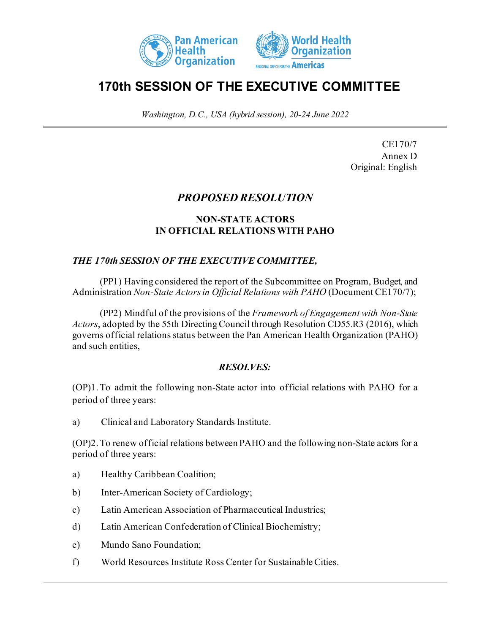



# **170th SESSION OF THE EXECUTIVE COMMITTEE**

*Washington, D.C., USA (hybrid session), 20-24 June 2022*

CE170/7 Annex D Original: English

# *PROPOSED RESOLUTION*

## **NON-STATE ACTORS IN OFFICIAL RELATIONS WITH PAHO**

## *THE 170th SESSION OF THE EXECUTIVE COMMITTEE,*

(PP1) Having considered the report of the Subcommittee on Program, Budget, and Administration *Non-State Actors in Official Relations with PAHO* (Document CE170/7);

(PP2) Mindful of the provisions of the *Framework of Engagement with Non-State Actors*, adopted by the 55th Directing Council through Resolution CD55.R3 (2016), which governs official relations status between the Pan American Health Organization (PAHO) and such entities,

### *RESOLVES:*

(OP)1.To admit the following non-State actor into official relations with PAHO for a period of three years:

a) Clinical and Laboratory Standards Institute.

(OP)2.To renew official relations between PAHO and the following non-State actors for a period of three years:

- a) Healthy Caribbean Coalition;
- b) Inter-American Society of Cardiology;
- c) Latin American Association of Pharmaceutical Industries;
- d) Latin American Confederation of Clinical Biochemistry;
- e) Mundo Sano Foundation;
- f) World Resources Institute Ross Center for Sustainable Cities.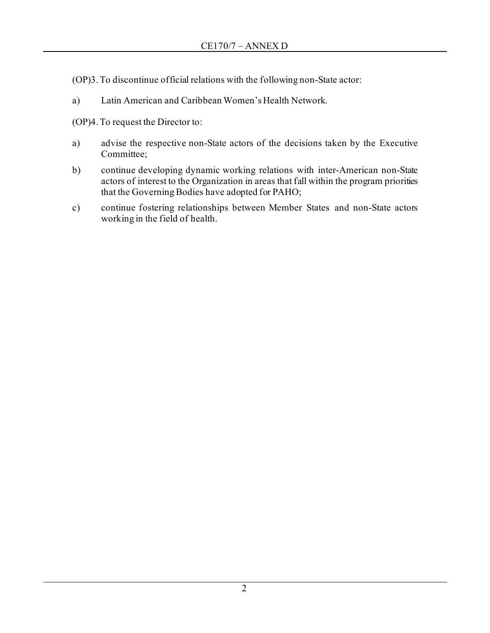(OP)3.To discontinue official relations with the following non-State actor:

a) Latin American and Caribbean Women's Health Network.

(OP)4.To request the Director to:

- a) advise the respective non-State actors of the decisions taken by the Executive Committee;
- b) continue developing dynamic working relations with inter-American non-State actors of interest to the Organization in areas that fall within the program priorities that the Governing Bodies have adopted for PAHO;
- c) continue fostering relationships between Member States and non-State actors working in the field of health.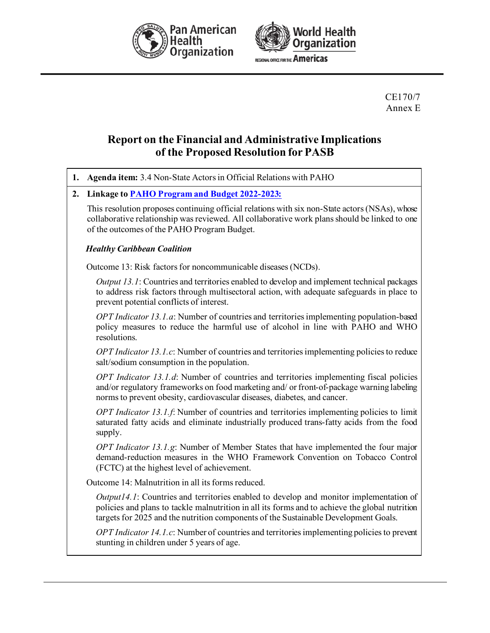



CE170/7 Annex E

# **Report on the Financial and Administrative Implications of the Proposed Resolution for PASB**

| 1. | Agenda item: 3.4 Non-State Actors in Official Relations with PAHO                                                                                                                                                                                                               |
|----|---------------------------------------------------------------------------------------------------------------------------------------------------------------------------------------------------------------------------------------------------------------------------------|
| 2. | Linkage to <b>PAHO Program and Budget 2022-2023:</b>                                                                                                                                                                                                                            |
|    | This resolution proposes continuing official relations with six non-State actors (NSAs), whose<br>collaborative relationship was reviewed. All collaborative work plans should be linked to one<br>of the outcomes of the PAHO Program Budget.                                  |
|    | <b>Healthy Caribbean Coalition</b>                                                                                                                                                                                                                                              |
|    | Outcome 13: Risk factors for noncommunicable diseases (NCDs).                                                                                                                                                                                                                   |
|    | <i>Output 13.1</i> : Countries and territories enabled to develop and implement technical packages<br>to address risk factors through multisectoral action, with adequate safeguards in place to<br>prevent potential conflicts of interest.                                    |
|    | OPT Indicator 13.1.a: Number of countries and territories implementing population-based<br>policy measures to reduce the harmful use of alcohol in line with PAHO and WHO<br>resolutions.                                                                                       |
|    | OPT Indicator 13.1.c: Number of countries and territories implementing policies to reduce<br>salt/sodium consumption in the population.                                                                                                                                         |
|    | OPT Indicator 13.1.d: Number of countries and territories implementing fiscal policies<br>and/or regulatory frameworks on food marketing and/ or front-of-package warning labeling<br>norms to prevent obesity, cardiovascular diseases, diabetes, and cancer.                  |
|    | OPT Indicator 13.1.f: Number of countries and territories implementing policies to limit<br>saturated fatty acids and eliminate industrially produced trans-fatty acids from the food<br>supply.                                                                                |
|    | OPT Indicator 13.1.g: Number of Member States that have implemented the four major<br>demand-reduction measures in the WHO Framework Convention on Tobacco Control<br>(FCTC) at the highest level of achievement.                                                               |
|    | Outcome 14: Malnutrition in all its forms reduced.                                                                                                                                                                                                                              |
|    | Output14.1: Countries and territories enabled to develop and monitor implementation of<br>policies and plans to tackle malnutrition in all its forms and to achieve the global nutrition<br>targets for 2025 and the nutrition components of the Sustainable Development Goals. |
|    | OPT Indicator 14.1.c: Number of countries and territories implementing policies to prevent<br>stunting in children under 5 years of age.                                                                                                                                        |
|    |                                                                                                                                                                                                                                                                                 |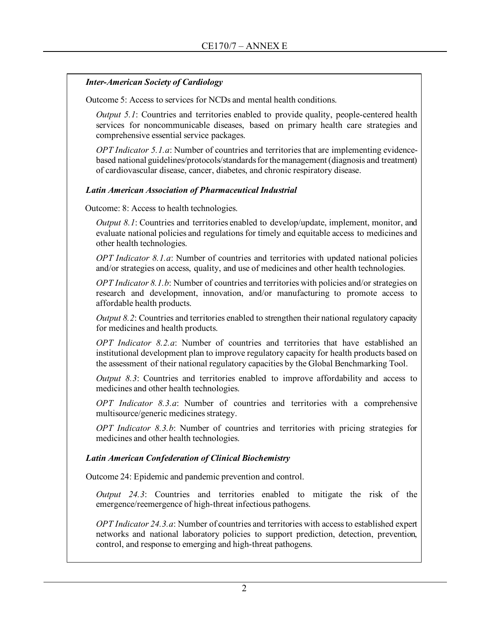### *Inter-American Society of Cardiology*

Outcome 5: Access to services for NCDs and mental health conditions.

*Output 5.1*: Countries and territories enabled to provide quality, people-centered health services for noncommunicable diseases, based on primary health care strategies and comprehensive essential service packages.

*OPT Indicator 5.1.a*: Number of countries and territories that are implementing evidencebased national guidelines/protocols/standards for the management (diagnosis and treatment) of cardiovascular disease, cancer, diabetes, and chronic respiratory disease.

### *Latin American Association of Pharmaceutical Industrial*

Outcome: 8: Access to health technologies.

*Output 8.1*: Countries and territories enabled to develop/update, implement, monitor, and evaluate national policies and regulations for timely and equitable access to medicines and other health technologies.

*OPT Indicator 8.1.a*: Number of countries and territories with updated national policies and/or strategies on access, quality, and use of medicines and other health technologies.

*OPT Indicator 8.1.b*: Number of countries and territories with policies and/or strategies on research and development, innovation, and/or manufacturing to promote access to affordable health products.

*Output 8.2*: Countries and territories enabled to strengthen their national regulatory capacity for medicines and health products.

*OPT Indicator 8.2.a*: Number of countries and territories that have established an institutional development plan to improve regulatory capacity for health products based on the assessment of their national regulatory capacities by the Global Benchmarking Tool.

*Output 8.3*: Countries and territories enabled to improve affordability and access to medicines and other health technologies.

*OPT Indicator 8.3.a*: Number of countries and territories with a comprehensive multisource/generic medicines strategy.

*OPT Indicator 8.3.b*: Number of countries and territories with pricing strategies for medicines and other health technologies.

### *Latin American Confederation of Clinical Biochemistry*

Outcome 24: Epidemic and pandemic prevention and control.

*Output 24.3*: Countries and territories enabled to mitigate the risk of the emergence/reemergence of high-threat infectious pathogens.

*OPT Indicator 24.3.a*: Number of countries and territories with access to established expert networks and national laboratory policies to support prediction, detection, prevention, control, and response to emerging and high-threat pathogens.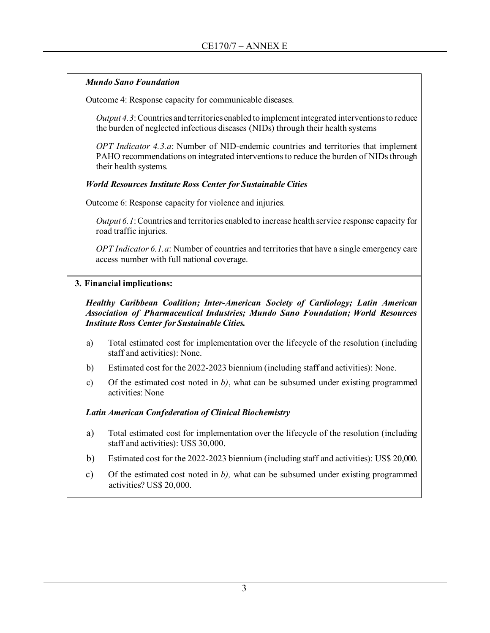### *Mundo Sano Foundation*

Outcome 4: Response capacity for communicable diseases.

*Output 4.3*: Countries and territories enabled to implement integrated interventions to reduce the burden of neglected infectious diseases (NIDs) through their health systems

*OPT Indicator 4.3.a*: Number of NID-endemic countries and territories that implement PAHO recommendations on integrated interventions to reduce the burden of NIDs through their health systems.

#### *World Resources Institute Ross Center for Sustainable Cities*

Outcome 6: Response capacity for violence and injuries.

*Output 6.1*: Countries and territories enabled to increase health service response capacity for road traffic injuries.

*OPT Indicator 6.1.a*: Number of countries and territories that have a single emergency care access number with full national coverage.

### **3. Financial implications:**

*Healthy Caribbean Coalition; Inter-American Society of Cardiology; Latin American Association of Pharmaceutical Industries; Mundo Sano Foundation; World Resources Institute Ross Center for Sustainable Cities.*

- a) Total estimated cost for implementation over the lifecycle of the resolution (including staff and activities): None.
- b) Estimated cost for the 2022-2023 biennium (including staff and activities): None.
- c) Of the estimated cost noted in *b)*, what can be subsumed under existing programmed activities: None

### *Latin American Confederation of Clinical Biochemistry*

- a) Total estimated cost for implementation over the lifecycle of the resolution (including staff and activities): US\$ 30,000.
- b) Estimated cost for the 2022-2023 biennium (including staff and activities): US\$ 20,000.
- c) Of the estimated cost noted in *b),* what can be subsumed under existing programmed activities? US\$ 20,000.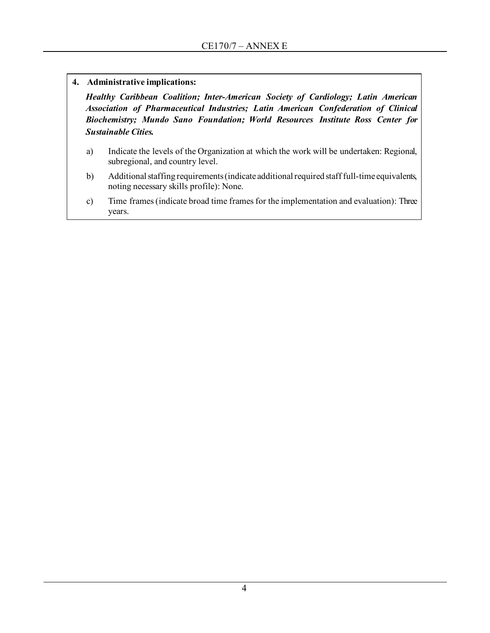**4. Administrative implications:**

*Healthy Caribbean Coalition; Inter-American Society of Cardiology; Latin American Association of Pharmaceutical Industries; Latin American Confederation of Clinical Biochemistry; Mundo Sano Foundation; World Resources Institute Ross Center for Sustainable Cities.*

- a) Indicate the levels of the Organization at which the work will be undertaken: Regional, subregional, and country level.
- b) Additional staffing requirements (indicate additional required staff full-time equivalents, noting necessary skills profile): None.
- c) Time frames (indicate broad time frames for the implementation and evaluation): Three years.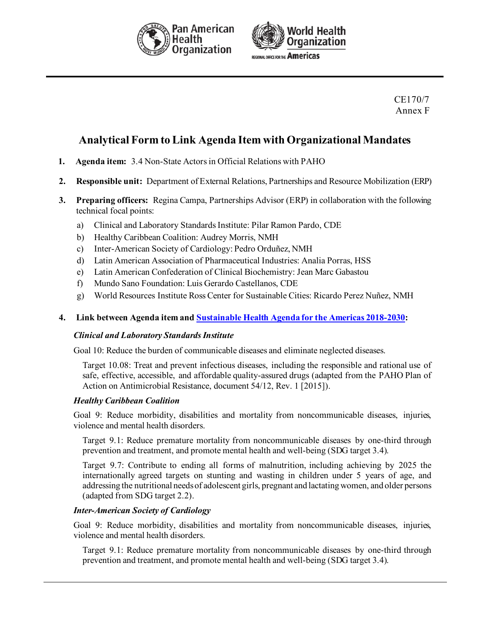



### CE170/7 Annex F

# **Analytical Form to Link Agenda Item with Organizational Mandates**

- **1. Agenda item:** 3.4 Non-State Actors in Official Relations with PAHO
- **2. Responsible unit:** Department of External Relations, Partnerships and Resource Mobilization (ERP)

- **3. Preparing officers:** Regina Campa, Partnerships Advisor (ERP) in collaboration with the following technical focal points:
	- a) Clinical and Laboratory Standards Institute: Pilar Ramon Pardo, CDE
	- b) Healthy Caribbean Coalition: Audrey Morris, NMH
	- c) Inter-American Society of Cardiology: Pedro Orduñez, NMH
	- d) Latin American Association of Pharmaceutical Industries: Analia Porras, HSS
	- e) Latin American Confederation of Clinical Biochemistry: Jean Marc Gabastou
	- f) Mundo Sano Foundation: Luis Gerardo Castellanos, CDE
	- g) World Resources Institute Ross Center for Sustainable Cities: Ricardo Perez Nuñez, NMH

#### **4. Link between Agenda item an[d Sustainable Health Agenda for the Americas 2018-2030](https://www.paho.org/en/sustainable-health-agenda-americas-2018-2030):**

#### *Clinical and Laboratory Standards Institute*

Goal 10: Reduce the burden of communicable diseases and eliminate neglected diseases.

Target 10.08: Treat and prevent infectious diseases, including the responsible and rational use of safe, effective, accessible, and affordable quality-assured drugs (adapted from the PAHO Plan of Action on Antimicrobial Resistance, document 54/12, Rev. 1 [2015]).

#### *Healthy Caribbean Coalition*

Goal 9: Reduce morbidity, disabilities and mortality from noncommunicable diseases, injuries, violence and mental health disorders.

Target 9.1: Reduce premature mortality from noncommunicable diseases by one-third through prevention and treatment, and promote mental health and well-being (SDG target 3.4).

Target 9.7: Contribute to ending all forms of malnutrition, including achieving by 2025 the internationally agreed targets on stunting and wasting in children under 5 years of age, and addressing the nutritional needs of adolescent girls, pregnant and lactating women, and older persons (adapted from SDG target 2.2).

#### *Inter-American Society of Cardiology*

Goal 9: Reduce morbidity, disabilities and mortality from noncommunicable diseases, injuries, violence and mental health disorders.

Target 9.1: Reduce premature mortality from noncommunicable diseases by one-third through prevention and treatment, and promote mental health and well-being (SDG target 3.4).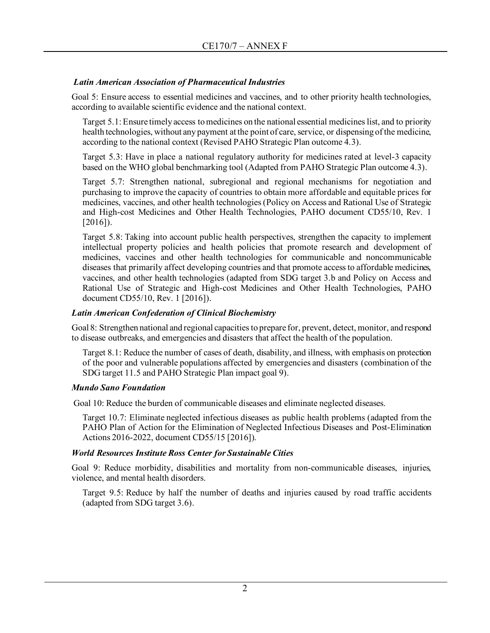### *Latin American Association of Pharmaceutical Industries*

Goal 5: Ensure access to essential medicines and vaccines, and to other priority health technologies, according to available scientific evidence and the national context.

Target 5.1: Ensure timely access to medicines on the national essential medicines list, and to priority health technologies, without any payment at the point of care, service, or dispensing of the medicine, according to the national context (Revised PAHO Strategic Plan outcome 4.3).

Target 5.3: Have in place a national regulatory authority for medicines rated at level-3 capacity based on the WHO global benchmarking tool (Adapted from PAHO Strategic Plan outcome 4.3).

Target 5.7: Strengthen national, subregional and regional mechanisms for negotiation and purchasing to improve the capacity of countries to obtain more affordable and equitable prices for medicines, vaccines, and other health technologies (Policy on Access and Rational Use of Strategic and High-cost Medicines and Other Health Technologies, PAHO document CD55/10, Rev. 1 [2016]).

Target 5.8: Taking into account public health perspectives, strengthen the capacity to implement intellectual property policies and health policies that promote research and development of medicines, vaccines and other health technologies for communicable and noncommunicable diseases that primarily affect developing countries and that promote access to affordable medicines, vaccines, and other health technologies (adapted from SDG target 3.b and Policy on Access and Rational Use of Strategic and High-cost Medicines and Other Health Technologies, PAHO document CD55/10, Rev. 1 [2016]).

### *Latin American Confederation of Clinical Biochemistry*

Goal 8: Strengthen national and regional capacities to prepare for, prevent, detect, monitor, and respond to disease outbreaks, and emergencies and disasters that affect the health of the population.

Target 8.1: Reduce the number of cases of death, disability, and illness, with emphasis on protection of the poor and vulnerable populations affected by emergencies and disasters (combination of the SDG target 11.5 and PAHO Strategic Plan impact goal 9).

### *Mundo Sano Foundation*

Goal 10: Reduce the burden of communicable diseases and eliminate neglected diseases.

Target 10.7: Eliminate neglected infectious diseases as public health problems (adapted from the PAHO Plan of Action for the Elimination of Neglected Infectious Diseases and Post-Elimination Actions 2016-2022, document CD55/15 [2016]).

### *World Resources Institute Ross Center for Sustainable Cities*

Goal 9: Reduce morbidity, disabilities and mortality from non-communicable diseases, injuries, violence, and mental health disorders.

Target 9.5: Reduce by half the number of deaths and injuries caused by road traffic accidents (adapted from SDG target 3.6).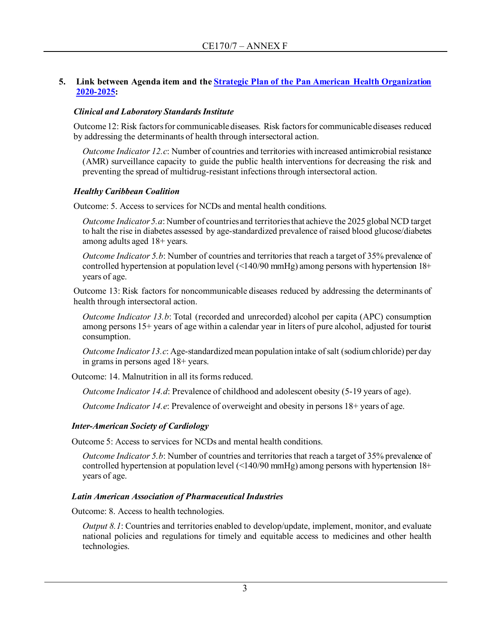### **5. Link between Agenda item and the [Strategic Plan of the Pan American Health Organization](https://www.paho.org/en/documents/paho-strategic-plan-2020-2025)  [2020-2025:](https://www.paho.org/en/documents/paho-strategic-plan-2020-2025)**

### *Clinical and Laboratory Standards Institute*

Outcome 12: Risk factors for communicable diseases. Risk factors for communicable diseases reduced by addressing the determinants of health through intersectoral action.

*Outcome Indicator 12.c*: Number of countries and territories with increased antimicrobial resistance (AMR) surveillance capacity to guide the public health interventions for decreasing the risk and preventing the spread of multidrug-resistant infections through intersectoral action.

### *Healthy Caribbean Coalition*

Outcome: 5. Access to services for NCDs and mental health conditions.

*Outcome Indicator 5.a*: Number of countries and territories that achieve the 2025 global NCD target to halt the rise in diabetes assessed by age-standardized prevalence of raised blood glucose/diabetes among adults aged 18+ years.

*Outcome Indicator 5.b:* Number of countries and territories that reach a target of 35% prevalence of controlled hypertension at population level (<140/90 mmHg) among persons with hypertension 18+ years of age.

Outcome 13: Risk factors for noncommunicable diseases reduced by addressing the determinants of health through intersectoral action.

*Outcome Indicator 13.b*: Total (recorded and unrecorded) alcohol per capita (APC) consumption among persons 15+ years of age within a calendar year in liters of pure alcohol, adjusted for tourist consumption.

*Outcome Indicator 13.c*: Age-standardized mean population intake of salt (sodium chloride) per day in grams in persons aged 18+ years.

Outcome: 14. Malnutrition in all its forms reduced.

*Outcome Indicator 14.d*: Prevalence of childhood and adolescent obesity (5-19 years of age).

*Outcome Indicator 14.e*: Prevalence of overweight and obesity in persons 18+ years of age.

### *Inter-American Society of Cardiology*

Outcome 5: Access to services for NCDs and mental health conditions.

*Outcome Indicator 5.b:* Number of countries and territories that reach a target of 35% prevalence of controlled hypertension at population level (<140/90 mmHg) among persons with hypertension 18+ years of age.

### *Latin American Association of Pharmaceutical Industries*

Outcome: 8. Access to health technologies.

*Output 8.1*: Countries and territories enabled to develop/update, implement, monitor, and evaluate national policies and regulations for timely and equitable access to medicines and other health technologies.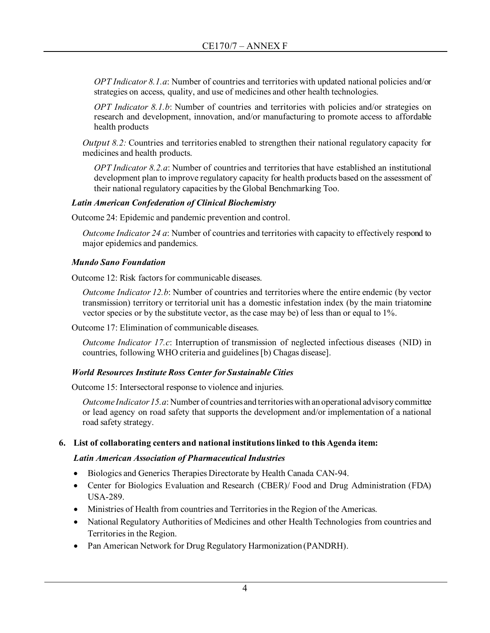*OPT Indicator 8.1.a*: Number of countries and territories with updated national policies and/or strategies on access, quality, and use of medicines and other health technologies.

*OPT Indicator 8.1.b*: Number of countries and territories with policies and/or strategies on research and development, innovation, and/or manufacturing to promote access to affordable health products

*Output* 8.2: Countries and territories enabled to strengthen their national regulatory capacity for medicines and health products.

*OPT Indicator 8.2.a*: Number of countries and territories that have established an institutional development plan to improve regulatory capacity for health products based on the assessment of their national regulatory capacities by the Global Benchmarking Too.

### *Latin American Confederation of Clinical Biochemistry*

Outcome 24: Epidemic and pandemic prevention and control.

*Outcome Indicator 24 a*: Number of countries and territories with capacity to effectively respond to major epidemics and pandemics.

### *Mundo Sano Foundation*

Outcome 12: Risk factors for communicable diseases.

*Outcome Indicator 12.b*: Number of countries and territories where the entire endemic (by vector transmission) territory or territorial unit has a domestic infestation index (by the main triatomine vector species or by the substitute vector, as the case may be) of less than or equal to 1%.

Outcome 17: Elimination of communicable diseases.

*Outcome Indicator 17.c*: Interruption of transmission of neglected infectious diseases (NID) in countries, following WHO criteria and guidelines [b) Chagas disease].

### *World Resources Institute Ross Center for Sustainable Cities*

Outcome 15: Intersectoral response to violence and injuries.

*Outcome Indicator 15.a*: Number of countries and territories with an operational advisory committee or lead agency on road safety that supports the development and/or implementation of a national road safety strategy.

### **6. List of collaborating centers and national institutions linked to this Agenda item:**

### *Latin American Association of Pharmaceutical Industries*

- Biologics and Generics Therapies Directorate by Health Canada CAN-94.
- Center for Biologics Evaluation and Research (CBER)/ Food and Drug Administration (FDA) USA-289.
- Ministries of Health from countries and Territories in the Region of the Americas.
- National Regulatory Authorities of Medicines and other Health Technologies from countries and Territories in the Region.
- Pan American Network for Drug Regulatory Harmonization (PANDRH).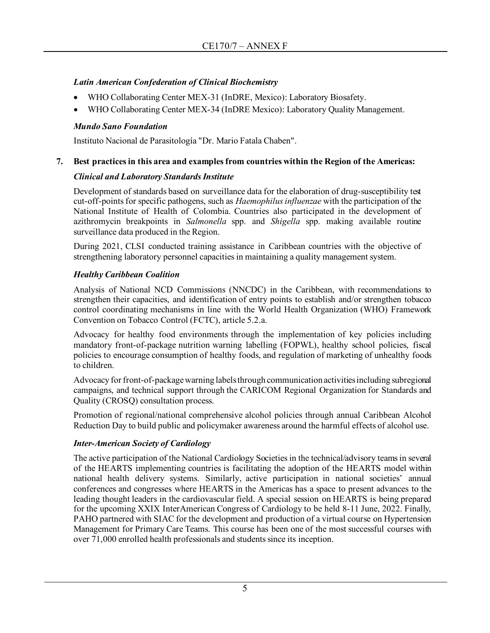### *Latin American Confederation of Clinical Biochemistry*

- WHO Collaborating Center MEX-31 (InDRE, Mexico): Laboratory Biosafety.
- WHO Collaborating Center MEX-34 (InDRE Mexico): Laboratory Quality Management.

### *Mundo Sano Foundation*

Instituto Nacional de Parasitología "Dr. Mario Fatala Chaben".

### **7. Best practices in this area and examples from countries within the Region of the Americas:**

### *Clinical and Laboratory Standards Institute*

Development of standards based on surveillance data for the elaboration of drug-susceptibility test cut-off-points for specific pathogens, such as *Haemophilus influenzae* with the participation of the National Institute of Health of Colombia. Countries also participated in the development of azithromycin breakpoints in *Salmonella* spp. and *Shigella* spp. making available routine surveillance data produced in the Region.

During 2021, CLSI conducted training assistance in Caribbean countries with the objective of strengthening laboratory personnel capacities in maintaining a quality management system.

### *Healthy Caribbean Coalition*

Analysis of National NCD Commissions (NNCDC) in the Caribbean, with recommendations to strengthen their capacities, and identification of entry points to establish and/or strengthen tobacco control coordinating mechanisms in line with the World Health Organization (WHO) Framework Convention on Tobacco Control (FCTC), article 5.2.a.

Advocacy for healthy food environments through the implementation of key policies including mandatory front-of-package nutrition warning labelling (FOPWL), healthy school policies, fiscal policies to encourage consumption of healthy foods, and regulation of marketing of unhealthy foods to children.

Advocacy for front-of-package warning labels through communication activities including subregional campaigns, and technical support through the CARICOM Regional Organization for Standards and Quality (CROSQ) consultation process.

Promotion of regional/national comprehensive alcohol policies through annual Caribbean Alcohol Reduction Day to build public and policymaker awareness around the harmful effects of alcohol use.

### *Inter-American Society of Cardiology*

The active participation of the National Cardiology Societies in the technical/advisory teams in several of the HEARTS implementing countries is facilitating the adoption of the HEARTS model within national health delivery systems. Similarly, active participation in national societies' annual conferences and congresses where HEARTS in the Americas has a space to present advances to the leading thought leaders in the cardiovascular field. A special session on HEARTS is being prepared for the upcoming XXIX InterAmerican Congress of Cardiology to be held 8-11 June, 2022. Finally, PAHO partnered with SIAC for the development and production of a virtual course on Hypertension Management for Primary Care Teams. This course has been one of the most successful courses with over 71,000 enrolled health professionals and students since its inception.